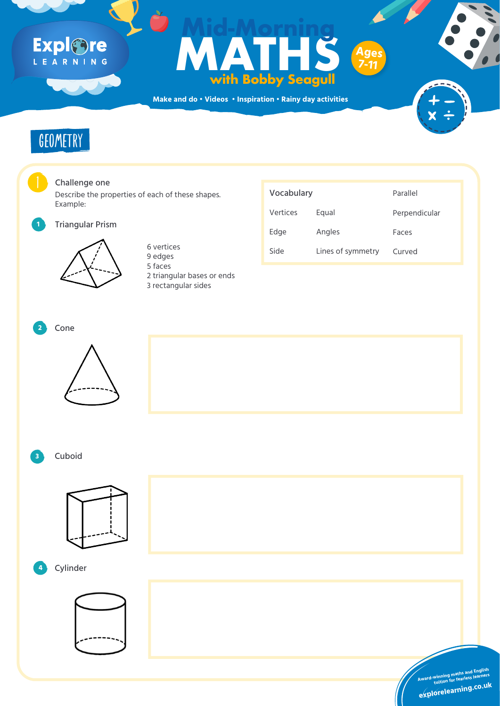**Make and do • Videos • Inspiration • Rainy day activities**

# Explore

## **Formulation Control Control Control Control Control Control Control Control Control Control Control Control Control Control Control Control Control Control Control Control Control Control Control Control Control Control C with Bobby Seagull Mid-Morning Ages 7-11**





Describe the properties of each of these shapes. Example:

Triangular Prism





### Vocabulary Vertices Edge Side Equal Angles 6 vertices<br>
Side Lines of symmetry Curved Parallel Perpendicular Faces









9 edges 5 faces 2 triangular bases or ends 3 rectangular sides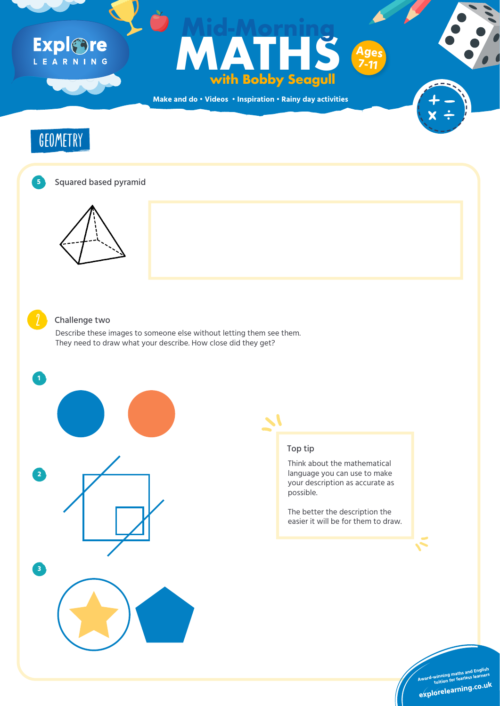**Make and do • Videos • Inspiration • Rainy day activities**

# Explore

## **Formulation Control Control Control Control Control Control Control Control Control Control Control Control Control Control Control Control Control Control Control Control Control Control Control Control Control Control C with Bobby Seagull Mid-Morning Ages 7-11**









### Challenge two

Describe these images to someone else without letting them see them. They need to draw what your describe. How close did they get?



**1**